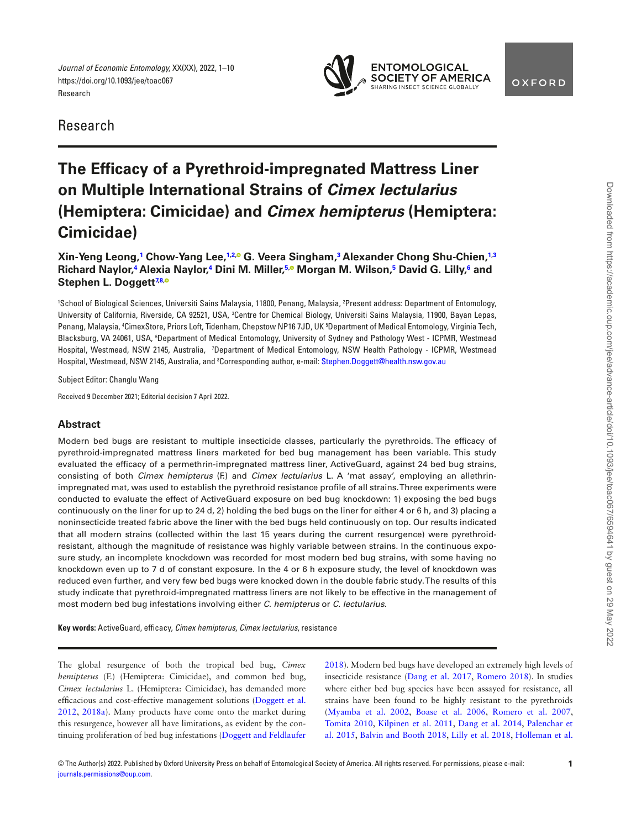*Journal of Economic Entomology,* XX(XX), 2022, 1–10 https://doi.org/10.1093/jee/toac067 Research



<span id="page-0-6"></span>

# **The Efficacy of a Pyrethroid-impregnated Mattress Liner on Multiple International Strains of** *Cimex lectularius* **(Hemiptera: Cimicidae) and** *Cimex hemipterus* **(Hemiptera: Cimicidae)**

**Xin-Yeng Leong, [1](#page-0-0) Chow-Yang Lee, [1,](#page-0-0)[2,](#page-0-1) G. Veera Singham, [3](#page-0-2) Alexander Chong Shu-Chien, [1](#page-0-0)[,3](#page-0-2) Richard Naylor,<sup>[4](#page-0-3)</sup> Alexia Naylor,<sup>4</sup> Dini M. Miller,<sup>[5](#page-0-4),0</sup> Morgan M. Wilson,<sup>5</sup> David G. Lilly,<sup>[6](#page-0-5)</sup> and Stephen L. Doggett[7](#page-0-6),[8,](#page-0-7)**

<span id="page-0-5"></span><span id="page-0-4"></span><span id="page-0-3"></span><span id="page-0-2"></span><span id="page-0-1"></span><span id="page-0-0"></span>1 School of Biological Sciences, Universiti Sains Malaysia, 11800, Penang, Malaysia, 2 Present address: Department of Entomology, University of California, Riverside, CA 92521, USA, <sup>3</sup>Centre for Chemical Biology, Universiti Sains Malaysia, 11900, Bayan Lepas, Penang, Malaysia, 4 CimexStore, Priors Loft, Tidenham, Chepstow NP16 7JD, UK 5 Department of Medical Entomology, Virginia Tech, Blacksburg, VA 24061, USA, <sup>6</sup>Department of Medical Entomology, University of Sydney and Pathology West - ICPMR, Westmead Hospital, Westmead, NSW 2145, Australia, *'*Department of Medical Entomology, NSW Health Pathology - ICPMR, Westmead Hospital, Westmead, NSW 2145, Australia, and <sup>8</sup>Corresponding author, e-mail: [Stephen.Doggett@health.nsw.gov.au](mailto:Stephen.Doggett@health.nsw.gov.au?subject=)

<span id="page-0-7"></span>Subject Editor: Changlu Wang

Received 9 December 2021; Editorial decision 7 April 2022.

# **Abstract**

Modern bed bugs are resistant to multiple insecticide classes, particularly the pyrethroids. The efficacy of pyrethroid-impregnated mattress liners marketed for bed bug management has been variable. This study evaluated the efficacy of a permethrin-impregnated mattress liner, ActiveGuard, against 24 bed bug strains, consisting of both *Cimex hemipterus* (F.) and *Cimex lectularius* L. A 'mat assay', employing an allethrinimpregnated mat, was used to establish the pyrethroid resistance profle of all strains. Three experiments were conducted to evaluate the effect of ActiveGuard exposure on bed bug knockdown: 1) exposing the bed bugs continuously on the liner for up to 24 d, 2) holding the bed bugs on the liner for either 4 or 6 h, and 3) placing a noninsecticide treated fabric above the liner with the bed bugs held continuously on top. Our results indicated that all modern strains (collected within the last 15 years during the current resurgence) were pyrethroidresistant, although the magnitude of resistance was highly variable between strains. In the continuous exposure study, an incomplete knockdown was recorded for most modern bed bug strains, with some having no knockdown even up to 7 d of constant exposure. In the 4 or 6 h exposure study, the level of knockdown was reduced even further, and very few bed bugs were knocked down in the double fabric study. The results of this study indicate that pyrethroid-impregnated mattress liners are not likely to be effective in the management of most modern bed bug infestations involving either *C. hemipterus* or *C. lectularius*.

Key words: ActiveGuard, efficacy, *Cimex hemipterus, Cimex lectularius*, resistance

<span id="page-0-12"></span><span id="page-0-11"></span>The global resurgence of both the tropical bed bug, *Cimex hemipterus* (F.) (Hemiptera: Cimicidae), and common bed bug, *Cimex lectularius* L. (Hemiptera: Cimicidae), has demanded more effcacious and cost-effective management solutions ([Doggett et al.](#page-8-0)  [2012](#page-8-0), [2018a](#page-8-1)). Many products have come onto the market during this resurgence, however all have limitations, as evident by the continuing proliferation of bed bug infestations (Doggett and Feldlaufer

<span id="page-0-19"></span><span id="page-0-18"></span><span id="page-0-17"></span><span id="page-0-16"></span><span id="page-0-15"></span><span id="page-0-14"></span><span id="page-0-13"></span><span id="page-0-10"></span><span id="page-0-9"></span><span id="page-0-8"></span>2018). Modern bed bugs have developed an extremely high levels of insecticide resistance ([Dang et al. 2017,](#page-8-2) Romero 2018). In studies where either bed bug species have been assayed for resistance, all strains have been found to be highly resistant to the pyrethroids [\(Myamba et al. 2002](#page-9-0), [Boase et al. 2006](#page-8-3), [Romero et al. 2007,](#page-9-1) [Tomita 2010](#page-9-2), [Kilpinen et al. 2011,](#page-9-3) Dang et al. 2014, [Palenchar et](#page-9-4)  [al. 2015](#page-9-4), [Balvin and Booth 2018](#page-8-4), [Lilly et al. 2018,](#page-9-5) [Holleman et al.](#page-9-6)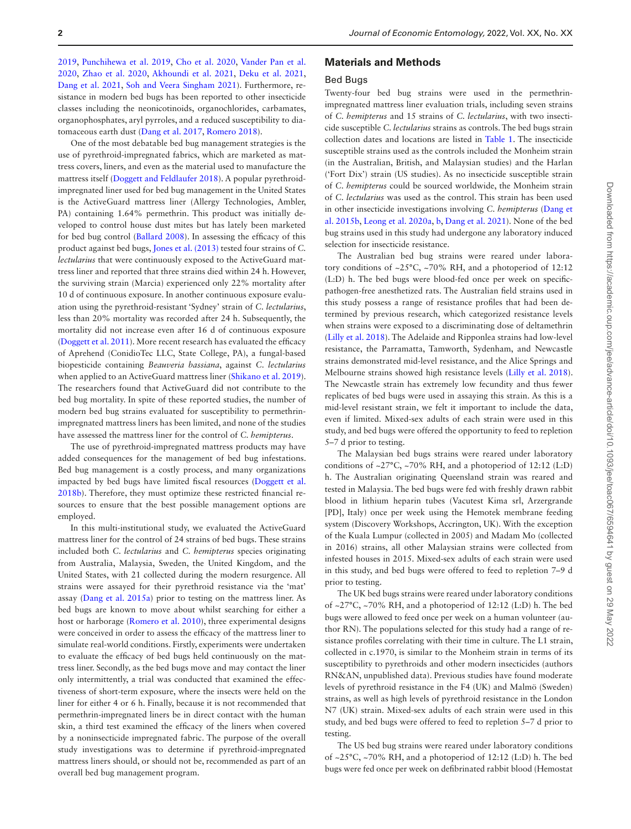<span id="page-1-16"></span><span id="page-1-14"></span><span id="page-1-11"></span><span id="page-1-5"></span>[2019](#page-9-6), [Punchihewa et al. 2019,](#page-9-7) [Cho et al. 2020](#page-8-5), [Vander Pan et al.](#page-9-8)  [2020](#page-9-8), [Zhao et al. 2020,](#page-9-9) [Akhoundi et al. 2021,](#page-8-6) [Deku et al. 2021,](#page-8-7) [Dang et al. 2021](#page-8-8), [Soh and Veera Singham 2021](#page-9-10)). Furthermore, resistance in modern bed bugs has been reported to other insecticide classes including the neonicotinoids, organochlorides, carbamates, organophosphates, aryl pyrroles, and a reduced susceptibility to diatomaceous earth dust [\(Dang et al. 2017,](#page-8-2) Romero 2018).

<span id="page-1-8"></span><span id="page-1-1"></span>One of the most debatable bed bug management strategies is the use of pyrethroid-impregnated fabrics, which are marketed as mattress covers, liners, and even as the material used to manufacture the mattress itself (Doggett and Feldlaufer 2018). A popular pyrethroidimpregnated liner used for bed bug management in the United States is the ActiveGuard mattress liner (Allergy Technologies, Ambler, PA) containing 1.64% permethrin. This product was initially developed to control house dust mites but has lately been marketed for bed bug control ([Ballard 2008](#page-8-9)). In assessing the efficacy of this product against bed bugs, [Jones et al. \(2013\)](#page-9-11) tested four strains of *C. lectularius* that were continuously exposed to the ActiveGuard mattress liner and reported that three strains died within 24 h. However, the surviving strain (Marcia) experienced only 22% mortality after 10 d of continuous exposure. In another continuous exposure evaluation using the pyrethroid-resistant 'Sydney' strain of *C. lectularius*, less than 20% mortality was recorded after 24 h. Subsequently, the mortality did not increase even after 16 d of continuous exposure [\(Doggett et al. 2011](#page-8-10)). More recent research has evaluated the efficacy of Aprehend (ConidioTec LLC, State College, PA), a fungal-based biopesticide containing *Beauveria bassiana*, against *C. lectularius* when applied to an ActiveGuard mattress liner [\(Shikano et al. 2019](#page-9-12)). The researchers found that ActiveGuard did not contribute to the bed bug mortality. In spite of these reported studies, the number of modern bed bug strains evaluated for susceptibility to permethrinimpregnated mattress liners has been limited, and none of the studies have assessed the mattress liner for the control of *C. hemipterus*.

<span id="page-1-13"></span><span id="page-1-7"></span>The use of pyrethroid-impregnated mattress products may have added consequences for the management of bed bug infestations. Bed bug management is a costly process, and many organizations impacted by bed bugs have limited fscal resources (Doggett et al. 2018b). Therefore, they must optimize these restricted fnancial resources to ensure that the best possible management options are employed.

<span id="page-1-12"></span><span id="page-1-3"></span>In this multi-institutional study, we evaluated the ActiveGuard mattress liner for the control of 24 strains of bed bugs. These strains included both *C. lectularius* and *C. hemipterus* species originating from Australia, Malaysia, Sweden, the United Kingdom, and the United States, with 21 collected during the modern resurgence. All strains were assayed for their pyrethroid resistance via the 'mat' assay [\(Dang et al. 2015a\)](#page-8-11) prior to testing on the mattress liner. As bed bugs are known to move about whilst searching for either a host or harborage [\(Romero et al. 2010\)](#page-9-13), three experimental designs were conceived in order to assess the effcacy of the mattress liner to simulate real-world conditions. Firstly, experiments were undertaken to evaluate the effcacy of bed bugs held continuously on the mattress liner. Secondly, as the bed bugs move and may contact the liner only intermittently, a trial was conducted that examined the effectiveness of short-term exposure, where the insects were held on the liner for either 4 or 6 h. Finally, because it is not recommended that permethrin-impregnated liners be in direct contact with the human skin, a third test examined the efficacy of the liners when covered by a noninsecticide impregnated fabric. The purpose of the overall study investigations was to determine if pyrethroid-impregnated mattress liners should, or should not be, recommended as part of an overall bed bug management program.

# <span id="page-1-15"></span><span id="page-1-2"></span><span id="page-1-0"></span>**Materials and Methods**

## <span id="page-1-6"></span>Bed Bugs

Twenty-four bed bug strains were used in the permethrinimpregnated mattress liner evaluation trials, including seven strains of *C. hemipterus* and 15 strains of *C. lectularius*, with two insecticide susceptible *C. lectularius* strains as controls. The bed bugs strain collection dates and locations are listed in [Table 1](#page-2-0). The insecticide susceptible strains used as the controls included the Monheim strain (in the Australian, British, and Malaysian studies) and the Harlan ('Fort Dix') strain (US studies). As no insecticide susceptible strain of *C. hemipterus* could be sourced worldwide, the Monheim strain of *C. lectularius* was used as the control. This strain has been used in other insecticide investigations involving *C. hemipterus* [\(Dang et](#page-8-12)  [al. 2015b](#page-8-12), [Leong et al. 2020a,](#page-9-14) [b](#page-9-15), [Dang et al. 2021\)](#page-8-8). None of the bed bug strains used in this study had undergone any laboratory induced selection for insecticide resistance.

<span id="page-1-10"></span><span id="page-1-9"></span><span id="page-1-4"></span>The Australian bed bug strains were reared under laboratory conditions of  $\sim$ 25°C,  $\sim$ 70% RH, and a photoperiod of 12:12 (L:D) h. The bed bugs were blood-fed once per week on specifcpathogen-free anesthetized rats. The Australian feld strains used in this study possess a range of resistance profles that had been determined by previous research, which categorized resistance levels when strains were exposed to a discriminating dose of deltamethrin [\(Lilly et al. 2018](#page-9-5)). The Adelaide and Ripponlea strains had low-level resistance, the Parramatta, Tamworth, Sydenham, and Newcastle strains demonstrated mid-level resistance, and the Alice Springs and Melbourne strains showed high resistance levels [\(Lilly et al. 2018](#page-9-5)). The Newcastle strain has extremely low fecundity and thus fewer replicates of bed bugs were used in assaying this strain. As this is a mid-level resistant strain, we felt it important to include the data, even if limited. Mixed-sex adults of each strain were used in this study, and bed bugs were offered the opportunity to feed to repletion 5–7 d prior to testing.

The Malaysian bed bugs strains were reared under laboratory conditions of ~27°C, ~70% RH, and a photoperiod of 12:12 (L:D) h. The Australian originating Queensland strain was reared and tested in Malaysia. The bed bugs were fed with freshly drawn rabbit blood in lithium heparin tubes (Vacutest Kima srl, Arzergrande [PD], Italy) once per week using the Hemotek membrane feeding system (Discovery Workshops, Accrington, UK). With the exception of the Kuala Lumpur (collected in 2005) and Madam Mo (collected in 2016) strains, all other Malaysian strains were collected from infested houses in 2015. Mixed-sex adults of each strain were used in this study, and bed bugs were offered to feed to repletion 7–9 d prior to testing.

The UK bed bugs strains were reared under laboratory conditions of ~27°C, ~70% RH, and a photoperiod of 12:12 (L:D) h. The bed bugs were allowed to feed once per week on a human volunteer (author RN). The populations selected for this study had a range of resistance profles correlating with their time in culture. The L1 strain, collected in c.1970, is similar to the Monheim strain in terms of its susceptibility to pyrethroids and other modern insecticides (authors RN&AN, unpublished data). Previous studies have found moderate levels of pyrethroid resistance in the F4 (UK) and Malmö (Sweden) strains, as well as high levels of pyrethroid resistance in the London N7 (UK) strain. Mixed-sex adults of each strain were used in this study, and bed bugs were offered to feed to repletion 5–7 d prior to testing.

The US bed bug strains were reared under laboratory conditions of  $\sim$ 25°C,  $\sim$ 70% RH, and a photoperiod of 12:12 (L:D) h. The bed bugs were fed once per week on defbrinated rabbit blood (Hemostat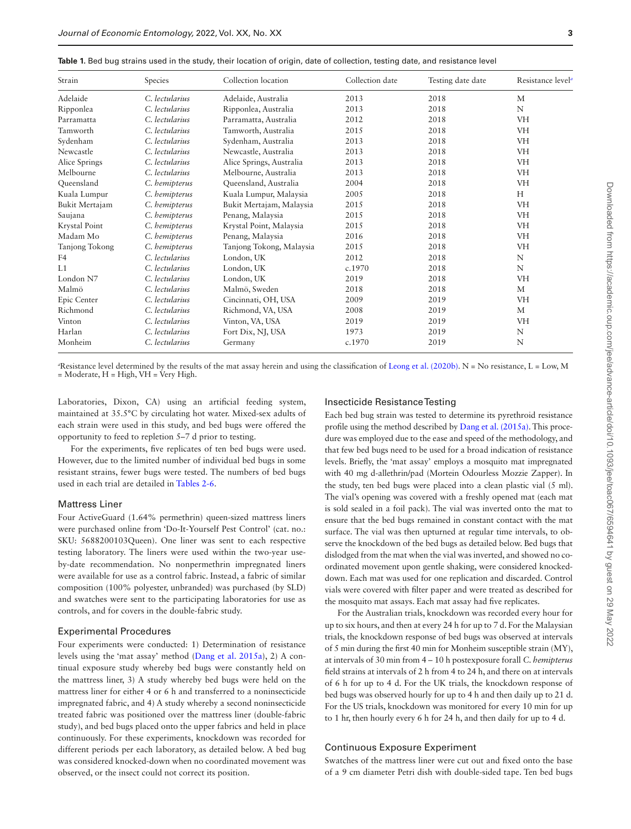<span id="page-2-0"></span>

| Table 1. Bed bug strains used in the study, their location of origin, date of collection, testing date, and resistance level |  |  |  |  |
|------------------------------------------------------------------------------------------------------------------------------|--|--|--|--|
|------------------------------------------------------------------------------------------------------------------------------|--|--|--|--|

| Strain         | Species        | Collection location      | Collection date | Testing date date | Resistance level <sup>a</sup> |
|----------------|----------------|--------------------------|-----------------|-------------------|-------------------------------|
| Adelaide       | C. lectularius | Adelaide, Australia      | 2013            | 2018              | M                             |
| Ripponlea      | C. lectularius | Ripponlea, Australia     | 2013            | 2018              | N                             |
| Parramatta     | C. lectularius | Parramatta, Australia    | 2012            | 2018              | <b>VH</b>                     |
| Tamworth       | C. lectularius | Tamworth, Australia      | 2015            | 2018              | <b>VH</b>                     |
| Sydenham       | C. lectularius | Sydenham, Australia      | 2013            | 2018              | <b>VH</b>                     |
| Newcastle      | C. lectularius | Newcastle, Australia     | 2013            | 2018              | VH                            |
| Alice Springs  | C. lectularius | Alice Springs, Australia | 2013            | 2018              | <b>VH</b>                     |
| Melbourne      | C. lectularius | Melbourne, Australia     | 2013            | 2018              | <b>VH</b>                     |
| Queensland     | C. hemipterus  | Queensland, Australia    | 2004            | 2018              | <b>VH</b>                     |
| Kuala Lumpur   | C. hemipterus  | Kuala Lumpur, Malaysia   | 2005            | 2018              | H                             |
| Bukit Mertajam | C. hemipterus  | Bukit Mertajam, Malaysia | 2015            | 2018              | <b>VH</b>                     |
| Saujana        | C. hemipterus  | Penang, Malaysia         | 2015            | 2018              | VH                            |
| Krystal Point  | C. hemipterus  | Krystal Point, Malaysia  | 2015            | 2018              | <b>VH</b>                     |
| Madam Mo       | C. hemipterus  | Penang, Malaysia         | 2016            | 2018              | VH                            |
| Tanjong Tokong | C. hemipterus  | Tanjong Tokong, Malaysia | 2015            | 2018              | <b>VH</b>                     |
| F4             | C. lectularius | London, UK               | 2012            | 2018              | N                             |
| L1             | C. lectularius | London, UK               | c.1970          | 2018              | N                             |
| London N7      | C. lectularius | London, UK               | 2019            | 2018              | VH                            |
| Malmö          | C. lectularius | Malmö, Sweden            | 2018            | 2018              | M                             |
| Epic Center    | C. lectularius | Cincinnati, OH, USA      | 2009            | 2019              | <b>VH</b>                     |
| Richmond       | C. lectularius | Richmond, VA, USA        | 2008            | 2019              | М                             |
| Vinton         | C. lectularius | Vinton, VA, USA          | 2019            | 2019              | <b>VH</b>                     |
| Harlan         | C. lectularius | Fort Dix, NJ, USA        | 1973            | 2019              | N                             |
| Monheim        | C. lectularius | Germany                  | c.1970          | 2019              | N                             |

<span id="page-2-1"></span> ${}^a\!$ Resistance level determined by the results of the mat assay herein and using the classification of [Leong et al. \(2020b\)](#page-9-15). N = No resistance, L = Low, M = Moderate, H = High, VH = Very High.

Laboratories, Dixon, CA) using an artifcial feeding system, maintained at 35.5°C by circulating hot water. Mixed-sex adults of each strain were used in this study, and bed bugs were offered the opportunity to feed to repletion 5–7 d prior to testing.

For the experiments, fve replicates of ten bed bugs were used. However, due to the limited number of individual bed bugs in some resistant strains, fewer bugs were tested. The numbers of bed bugs used in each trial are detailed in [Tables 2-6](#page-4-0).

# Mattress Liner

Four ActiveGuard (1.64% permethrin) queen-sized mattress liners were purchased online from 'Do-It-Yourself Pest Control' (cat. no.: SKU: 5688200103Queen). One liner was sent to each respective testing laboratory. The liners were used within the two-year useby-date recommendation. No nonpermethrin impregnated liners were available for use as a control fabric. Instead, a fabric of similar composition (100% polyester, unbranded) was purchased (by SLD) and swatches were sent to the participating laboratories for use as controls, and for covers in the double-fabric study.

## Experimental Procedures

Four experiments were conducted: 1) Determination of resistance levels using the 'mat assay' method ([Dang et al. 2015a\)](#page-8-11), 2) A continual exposure study whereby bed bugs were constantly held on the mattress liner, 3) A study whereby bed bugs were held on the mattress liner for either 4 or 6 h and transferred to a noninsecticide impregnated fabric, and 4) A study whereby a second noninsecticide treated fabric was positioned over the mattress liner (double-fabric study), and bed bugs placed onto the upper fabrics and held in place continuously. For these experiments, knockdown was recorded for different periods per each laboratory, as detailed below. A bed bug was considered knocked-down when no coordinated movement was observed, or the insect could not correct its position.

# Insecticide Resistance Testing

Each bed bug strain was tested to determine its pyrethroid resistance profle using the method described by [Dang et al. \(2015a\).](#page-8-11) This procedure was employed due to the ease and speed of the methodology, and that few bed bugs need to be used for a broad indication of resistance levels. Briefy, the 'mat assay' employs a mosquito mat impregnated with 40 mg d-allethrin/pad (Mortein Odourless Mozzie Zapper). In the study, ten bed bugs were placed into a clean plastic vial (5 ml). The vial's opening was covered with a freshly opened mat (each mat is sold sealed in a foil pack). The vial was inverted onto the mat to ensure that the bed bugs remained in constant contact with the mat surface. The vial was then upturned at regular time intervals, to observe the knockdown of the bed bugs as detailed below. Bed bugs that dislodged from the mat when the vial was inverted, and showed no coordinated movement upon gentle shaking, were considered knockeddown. Each mat was used for one replication and discarded. Control vials were covered with flter paper and were treated as described for the mosquito mat assays. Each mat assay had five replicates.

For the Australian trials, knockdown was recorded every hour for up to six hours, and then at every 24 h for up to 7 d. For the Malaysian trials, the knockdown response of bed bugs was observed at intervals of 5 min during the frst 40 min for Monheim susceptible strain (MY), at intervals of 30 min from 4 – 10 h postexposure forall *C. hemipterus* feld strains at intervals of 2 h from 4 to 24 h, and there on at intervals of 6 h for up to 4 d. For the UK trials, the knockdown response of bed bugs was observed hourly for up to 4 h and then daily up to 21 d. For the US trials, knockdown was monitored for every 10 min for up to 1 hr, then hourly every 6 h for 24 h, and then daily for up to 4 d.

# Continuous Exposure Experiment

Swatches of the mattress liner were cut out and fxed onto the base of a 9 cm diameter Petri dish with double-sided tape. Ten bed bugs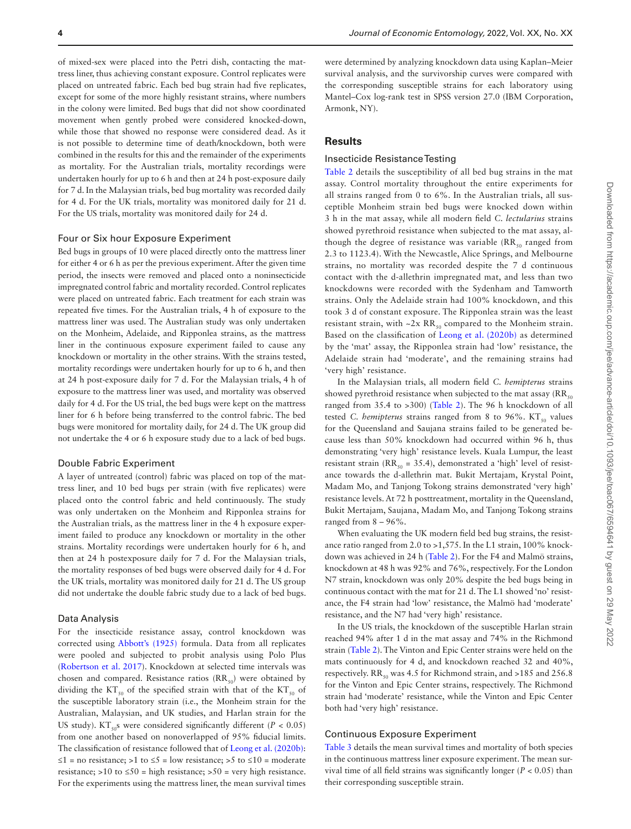of mixed-sex were placed into the Petri dish, contacting the mattress liner, thus achieving constant exposure. Control replicates were placed on untreated fabric. Each bed bug strain had fve replicates, except for some of the more highly resistant strains, where numbers in the colony were limited. Bed bugs that did not show coordinated movement when gently probed were considered knocked-down, while those that showed no response were considered dead. As it is not possible to determine time of death/knockdown, both were combined in the results for this and the remainder of the experiments as mortality. For the Australian trials, mortality recordings were undertaken hourly for up to 6 h and then at 24 h post-exposure daily for 7 d. In the Malaysian trials, bed bug mortality was recorded daily for 4 d. For the UK trials, mortality was monitored daily for 21 d. For the US trials, mortality was monitored daily for 24 d.

## Four or Six hour Exposure Experiment

Bed bugs in groups of 10 were placed directly onto the mattress liner for either 4 or 6 h as per the previous experiment. After the given time period, the insects were removed and placed onto a noninsecticide impregnated control fabric and mortality recorded. Control replicates were placed on untreated fabric. Each treatment for each strain was repeated fve times. For the Australian trials, 4 h of exposure to the mattress liner was used. The Australian study was only undertaken on the Monheim, Adelaide, and Ripponlea strains, as the mattress liner in the continuous exposure experiment failed to cause any knockdown or mortality in the other strains. With the strains tested, mortality recordings were undertaken hourly for up to 6 h, and then at 24 h post-exposure daily for 7 d. For the Malaysian trials, 4 h of exposure to the mattress liner was used, and mortality was observed daily for 4 d. For the US trial, the bed bugs were kept on the mattress liner for 6 h before being transferred to the control fabric. The bed bugs were monitored for mortality daily, for 24 d. The UK group did not undertake the 4 or 6 h exposure study due to a lack of bed bugs.

## Double Fabric Experiment

A layer of untreated (control) fabric was placed on top of the mattress liner, and 10 bed bugs per strain (with fve replicates) were placed onto the control fabric and held continuously. The study was only undertaken on the Monheim and Ripponlea strains for the Australian trials, as the mattress liner in the 4 h exposure experiment failed to produce any knockdown or mortality in the other strains. Mortality recordings were undertaken hourly for 6 h, and then at 24 h postexposure daily for 7 d. For the Malaysian trials, the mortality responses of bed bugs were observed daily for 4 d. For the UK trials, mortality was monitored daily for 21 d. The US group did not undertake the double fabric study due to a lack of bed bugs.

#### Data Analysis

<span id="page-3-1"></span><span id="page-3-0"></span>For the insecticide resistance assay, control knockdown was corrected using [Abbott's \(1925\)](#page-8-13) formula. Data from all replicates were pooled and subjected to probit analysis using Polo Plus [\(Robertson et al. 2017\)](#page-9-16). Knockdown at selected time intervals was chosen and compared. Resistance ratios  $(RR_{50})$  were obtained by dividing the KT<sub>50</sub> of the specified strain with that of the KT<sub>50</sub> of the susceptible laboratory strain (i.e., the Monheim strain for the Australian, Malaysian, and UK studies, and Harlan strain for the US study). KT<sub>50</sub>s were considered significantly different ( $P < 0.05$ ) from one another based on nonoverlapped of 95% fducial limits. The classifcation of resistance followed that of [Leong et al. \(2020b\)](#page-9-15): ≤1 = no resistance; >1 to ≤5 = low resistance; >5 to ≤10 = moderate resistance; >10 to  $\leq$ 50 = high resistance; >50 = very high resistance. For the experiments using the mattress liner, the mean survival times

were determined by analyzing knockdown data using Kaplan–Meier survival analysis, and the survivorship curves were compared with the corresponding susceptible strains for each laboratory using Mantel–Cox log-rank test in SPSS version 27.0 (IBM Corporation, Armonk, NY).

# **Results**

# Insecticide Resistance Testing

[Table 2](#page-4-0) details the susceptibility of all bed bug strains in the mat assay. Control mortality throughout the entire experiments for all strains ranged from 0 to 6%. In the Australian trials, all susceptible Monheim strain bed bugs were knocked down within 3 h in the mat assay, while all modern feld *C. lectularius* strains showed pyrethroid resistance when subjected to the mat assay, although the degree of resistance was variable  $(RR_{50})$  ranged from 2.3 to 1123.4). With the Newcastle, Alice Springs, and Melbourne strains, no mortality was recorded despite the 7 d continuous contact with the d-allethrin impregnated mat, and less than two knockdowns were recorded with the Sydenham and Tamworth strains. Only the Adelaide strain had 100% knockdown, and this took 3 d of constant exposure. The Ripponlea strain was the least resistant strain, with  $-2x$  RR<sub>50</sub> compared to the Monheim strain. Based on the classifcation of [Leong et al. \(2020b\)](#page-9-15) as determined by the 'mat' assay, the Ripponlea strain had 'low' resistance, the Adelaide strain had 'moderate', and the remaining strains had 'very high' resistance.

In the Malaysian trials, all modern feld *C. hemipterus* strains showed pyrethroid resistance when subjected to the mat assay ( $RR<sub>50</sub>$ ranged from 35.4 to >300) [\(Table 2\)](#page-4-0). The 96 h knockdown of all tested *C. hemipterus* strains ranged from 8 to 96%.  $KT_{50}$  values for the Queensland and Saujana strains failed to be generated because less than 50% knockdown had occurred within 96 h, thus demonstrating 'very high' resistance levels. Kuala Lumpur, the least resistant strain ( $RR_{50} = 35.4$ ), demonstrated a 'high' level of resistance towards the d-allethrin mat. Bukit Mertajam, Krystal Point, Madam Mo, and Tanjong Tokong strains demonstrated 'very high' resistance levels. At 72 h posttreatment, mortality in the Queensland, Bukit Mertajam, Saujana, Madam Mo, and Tanjong Tokong strains ranged from 8 – 96%.

When evaluating the UK modern feld bed bug strains, the resistance ratio ranged from 2.0 to >1,575. In the L1 strain, 100% knockdown was achieved in 24 h [\(Table 2](#page-4-0)). For the F4 and Malmö strains, knockdown at 48 h was 92% and 76%, respectively. For the London N7 strain, knockdown was only 20% despite the bed bugs being in continuous contact with the mat for 21 d. The L1 showed 'no' resistance, the F4 strain had 'low' resistance, the Malmö had 'moderate' resistance, and the N7 had 'very high' resistance.

In the US trials, the knockdown of the susceptible Harlan strain reached 94% after 1 d in the mat assay and 74% in the Richmond strain ([Table 2\)](#page-4-0). The Vinton and Epic Center strains were held on the mats continuously for 4 d, and knockdown reached 32 and 40%, respectively. RR<sub>50</sub> was 4.5 for Richmond strain, and >185 and 256.8 for the Vinton and Epic Center strains, respectively. The Richmond strain had 'moderate' resistance, while the Vinton and Epic Center both had 'very high' resistance.

# Continuous Exposure Experiment

[Table 3](#page-5-0) details the mean survival times and mortality of both species in the continuous mattress liner exposure experiment. The mean survival time of all feld strains was signifcantly longer (*P* < 0.05) than their corresponding susceptible strain.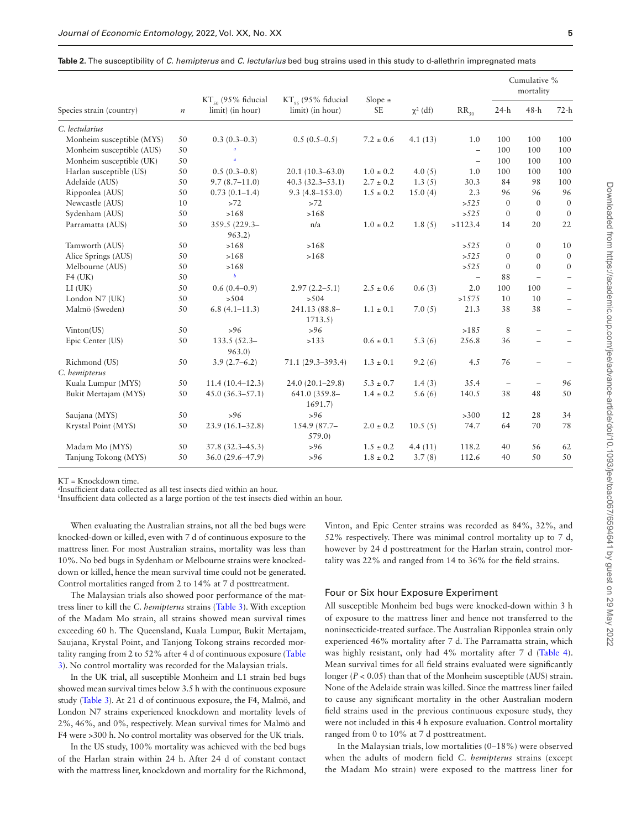|                           |                  |                                             | $KT_{\alpha s}$ (95% fiducial<br>limit) (in hour) | Slope $\pm$<br><b>SE</b> | $\chi^2$ (df) | $RR_{50}$         | Cumulative %<br>mortality |                          |                          |
|---------------------------|------------------|---------------------------------------------|---------------------------------------------------|--------------------------|---------------|-------------------|---------------------------|--------------------------|--------------------------|
| Species strain (country)  | $\boldsymbol{n}$ | $KT_{50}$ (95% fiducial<br>limit) (in hour) |                                                   |                          |               |                   | $24-h$                    | $48-h$                   | $72-h$                   |
| C. lectularius            |                  |                                             |                                                   |                          |               |                   |                           |                          |                          |
| Monheim susceptible (MYS) | 50               | $0.3(0.3-0.3)$                              | $0.5(0.5-0.5)$                                    | $7.2 \pm 0.6$            | 4.1(13)       | 1.0               | 100                       | 100                      | 100                      |
| Monheim susceptible (AUS) | 50               |                                             |                                                   |                          |               | $\qquad \qquad -$ | 100                       | 100                      | 100                      |
| Monheim susceptible (UK)  | 50               | $\overline{a}$                              |                                                   |                          |               | ÷                 | 100                       | 100                      | 100                      |
| Harlan susceptible (US)   | 50               | $0.5(0.3-0.8)$                              | $20.1(10.3-63.0)$                                 | $1.0 \pm 0.2$            | 4.0 $(5)$     | 1.0               | 100                       | 100                      | 100                      |
| Adelaide (AUS)            | 50               | $9.7(8.7-11.0)$                             | $40.3(32.3 - 53.1)$                               | $2.7 \pm 0.2$            | 1.3(5)        | 30.3              | 84                        | 98                       | 100                      |
| Ripponlea (AUS)           | 50               | $0.73(0.1 - 1.4)$                           | $9.3(4.8 - 153.0)$                                | $1.5 \pm 0.2$            | 15.0(4)       | 2.3               | 96                        | 96                       | 96                       |
| Newcastle (AUS)           | 10               | >72                                         | >72                                               |                          |               | >525              | $\mathbf{0}$              | $\theta$                 | $\mathbf{0}$             |
| Sydenham (AUS)            | 50               | >168                                        | >168                                              |                          |               | >525              | $\mathbf{0}$              | $\mathbf{0}$             | $\mathbf{0}$             |
| Parramatta (AUS)          | 50               | 359.5 (229.3-<br>963.2)                     | n/a                                               | $1.0 \pm 0.2$            | 1.8(5)        | >1123.4           | 14                        | 20                       | 22                       |
| Tamworth (AUS)            | 50               | >168                                        | >168                                              |                          |               | >525              | $\mathbf{0}$              | $\mathbf{0}$             | 10                       |
| Alice Springs (AUS)       | 50               | >168                                        | >168                                              |                          |               | >525              | $\mathbf{0}$              | $\Omega$                 | $\mathbf{0}$             |
| Melbourne (AUS)           | 50               | >168                                        |                                                   |                          |               | >525              | $\mathbf{0}$              | $\theta$                 | $\boldsymbol{0}$         |
| $F4$ (UK)                 | 50               | $\boldsymbol{b}$                            |                                                   |                          |               | $\qquad \qquad -$ | 88                        | $\overline{\phantom{m}}$ | $\qquad \qquad -$        |
| $LI$ (UK)                 | 50               | $0.6(0.4-0.9)$                              | $2.97(2.2 - 5.1)$                                 | $2.5\pm0.6$              | 0.6(3)        | 2.0               | 100                       | 100                      |                          |
| London N7 (UK)            | 50               | > 504                                       | >504                                              |                          |               | >1575             | 10                        | 10                       |                          |
| Malmö (Sweden)            | 50               | $6.8(4.1 - 11.3)$                           | 241.13 (88.8-<br>1713.5                           | $1.1 \pm 0.1$            | 7.0(5)        | 21.3              | 38                        | 38                       | $\overline{\phantom{0}}$ |
| Vinton(US)                | 50               | $>96$                                       | $>96$                                             |                          |               | >185              | 8                         |                          |                          |
| Epic Center (US)          | 50               | $133.5(52.3 -$<br>963.0                     | >133                                              | $0.6 \pm 0.1$            | 5.3(6)        | 256.8             | 36                        |                          |                          |
| Richmond (US)             | 50               | $3.9(2.7-6.2)$                              | $71.1(29.3 - 393.4)$                              | $1.3 \pm 0.1$            | 9.2(6)        | 4.5               | 76                        |                          |                          |
| C. hemipterus             |                  |                                             |                                                   |                          |               |                   |                           |                          |                          |
| Kuala Lumpur (MYS)        | 50               | $11.4(10.4-12.3)$                           | $24.0(20.1 - 29.8)$                               | $5.3 \pm 0.7$            | 1.4(3)        | 35.4              | $\qquad \qquad -$         | $\overline{\phantom{m}}$ | 96                       |
| Bukit Mertajam (MYS)      | 50               | $45.0(36.3 - 57.1)$                         | 641.0 (359.8-<br>1691.7                           | $1.4 \pm 0.2$            | 5.6(6)        | 140.5             | 38                        | 48                       | 50                       |
| Saujana (MYS)             | 50               | $>96$                                       | $>96$                                             |                          |               | >300              | 12                        | 28                       | 34                       |
| Krystal Point (MYS)       | 50               | $23.9(16.1 - 32.8)$                         | 154.9 (87.7-<br>579.0                             | $2.0 \pm 0.2$            | 10.5(5)       | 74.7              | 64                        | 70                       | 78                       |
| Madam Mo (MYS)            | 50               | $37.8(32.3 - 45.3)$                         | > 96                                              | $1.5 \pm 0.2$            | 4.4(11)       | 118.2             | 40                        | 56                       | 62                       |
| Tanjung Tokong (MYS)      | 50               | 36.0 (29.6-47.9)                            | > 96                                              | $1.8 \pm 0.2$            | 3.7(8)        | 112.6             | 40                        | 50                       | 50                       |

<span id="page-4-0"></span>**Table 2.** The susceptibility of *C. hemipterus* and *C. lectularius* bed bug strains used in this study to d-allethrin impregnated mats

KT = Knockdown time.

<span id="page-4-1"></span>*a* Insuffcient data collected as all test insects died within an hour.

<span id="page-4-2"></span>*b* Insuffcient data collected as a large portion of the test insects died within an hour.

When evaluating the Australian strains, not all the bed bugs were knocked-down or killed, even with 7 d of continuous exposure to the mattress liner. For most Australian strains, mortality was less than 10%. No bed bugs in Sydenham or Melbourne strains were knockeddown or killed, hence the mean survival time could not be generated. Control mortalities ranged from 2 to 14% at 7 d posttreatment.

The Malaysian trials also showed poor performance of the mattress liner to kill the *C. hemipterus* strains ([Table 3](#page-5-0)). With exception of the Madam Mo strain, all strains showed mean survival times exceeding 60 h. The Queensland, Kuala Lumpur, Bukit Mertajam, Saujana, Krystal Point, and Tanjong Tokong strains recorded mortality ranging from 2 to 52% after 4 d of continuous exposure ([Table](#page-5-0)  [3](#page-5-0)). No control mortality was recorded for the Malaysian trials.

In the UK trial, all susceptible Monheim and L1 strain bed bugs showed mean survival times below 3.5 h with the continuous exposure study ([Table 3\)](#page-5-0). At 21 d of continuous exposure, the F4, Malmö, and London N7 strains experienced knockdown and mortality levels of 2%, 46%, and 0%, respectively. Mean survival times for Malmö and F4 were >300 h. No control mortality was observed for the UK trials.

In the US study, 100% mortality was achieved with the bed bugs of the Harlan strain within 24 h. After 24 d of constant contact with the mattress liner, knockdown and mortality for the Richmond,

Vinton, and Epic Center strains was recorded as 84%, 32%, and 52% respectively. There was minimal control mortality up to 7 d, however by 24 d posttreatment for the Harlan strain, control mortality was 22% and ranged from 14 to 36% for the feld strains.

## Four or Six hour Exposure Experiment

All susceptible Monheim bed bugs were knocked-down within 3 h of exposure to the mattress liner and hence not transferred to the noninsecticide-treated surface. The Australian Ripponlea strain only experienced 46% mortality after 7 d. The Parramatta strain, which was highly resistant, only had 4% mortality after 7 d [\(Table 4](#page-5-1)). Mean survival times for all feld strains evaluated were signifcantly longer  $(P < 0.05)$  than that of the Monheim susceptible (AUS) strain. None of the Adelaide strain was killed. Since the mattress liner failed to cause any signifcant mortality in the other Australian modern feld strains used in the previous continuous exposure study, they were not included in this 4 h exposure evaluation. Control mortality ranged from 0 to 10% at 7 d posttreatment.

In the Malaysian trials, low mortalities (0–18%) were observed when the adults of modern feld *C. hemipterus* strains (except the Madam Mo strain) were exposed to the mattress liner for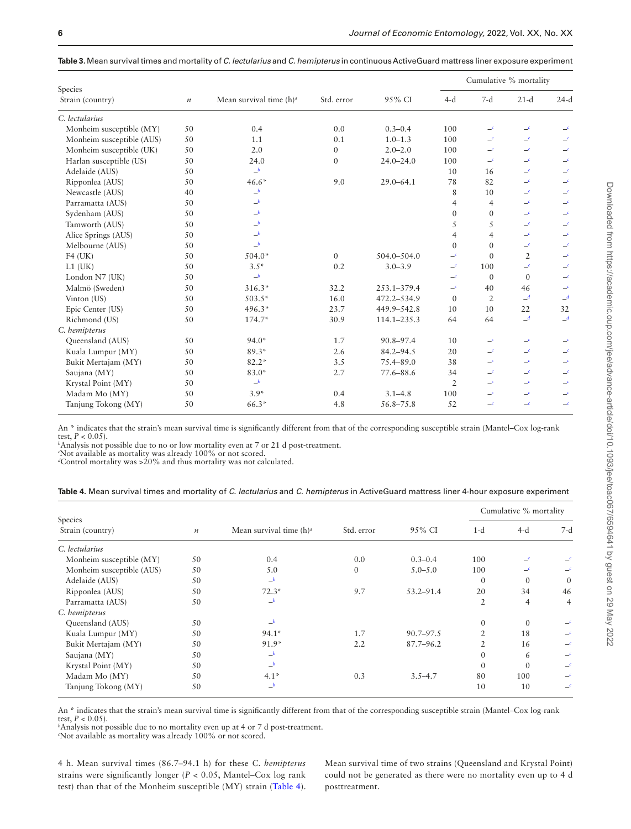| Species                   |                  |                            |                  |               | Cumulative % mortality |                       |                       |                       |
|---------------------------|------------------|----------------------------|------------------|---------------|------------------------|-----------------------|-----------------------|-----------------------|
| Strain (country)          | $\boldsymbol{n}$ | Mean survival time $(h)^a$ | Std. error       | 95% CI        | $4-d$                  | $7-d$                 | $21-d$                | $24-d$                |
| C. lectularius            |                  |                            |                  |               |                        |                       |                       |                       |
| Monheim susceptible (MY)  | 50               | 0.4                        | 0.0              | $0.3 - 0.4$   | 100                    | $\equiv$ <sup>c</sup> | $\equiv$ c            |                       |
| Monheim susceptible (AUS) | 50               | 1.1                        | 0.1              | $1.0 - 1.3$   | 100                    | $\equiv$              | $\equiv$              |                       |
| Monheim susceptible (UK)  | 50               | 2.0                        | $\boldsymbol{0}$ | $2.0 - 2.0$   | 100                    | $\equiv$              | $\equiv$              |                       |
| Harlan susceptible (US)   | 50               | 24.0                       | $\mathbf{0}$     | $24.0 - 24.0$ | 100                    | $-$ c                 | $\equiv$              | $\epsilon$            |
| Adelaide (AUS)            | 50               | b                          |                  |               | 10                     | 16                    | $\equiv$ c            | $\equiv$              |
| Ripponlea (AUS)           | 50               | $46.6*$                    | 9.0              | $29.0 - 64.1$ | 78                     | 82                    | $-c$                  |                       |
| Newcastle (AUS)           | 40               | b                          |                  |               | 8                      | 10                    | $\equiv$              | $\equiv$              |
| Parramatta (AUS)          | 50               | b                          |                  |               | $\overline{4}$         | $\overline{4}$        | $\equiv$ <sup>c</sup> | $\equiv$              |
| Sydenham (AUS)            | 50               | $-b$                       |                  |               | $\Omega$               | $\Omega$              | $\equiv$              | $\equiv$              |
| Tamworth (AUS)            | 50               | $\_^b$                     |                  |               | 5                      | 5                     | $\equiv$ c            | $\mathcal{L}$         |
| Alice Springs (AUS)       | 50               | b                          |                  |               | $\overline{4}$         | $\overline{4}$        | $\equiv$ c            | $\equiv$ <sup>c</sup> |
| Melbourne (AUS)           | 50               | $-b$                       |                  |               | $\Omega$               | $\Omega$              | $-c$                  |                       |
| $F4$ (UK)                 | 50               | $504.0*$                   | $\overline{0}$   | 504.0-504.0   | $-^c$                  | $\Omega$              | $\overline{2}$        | $\equiv$              |
| $L1$ (UK)                 | 50               | $3.5*$                     | 0.2              | $3.0 - 3.9$   | $\equiv^c$             | 100                   | $\mathcal{L}$         | $\equiv$              |
| London N7 (UK)            | 50               | $-b$                       |                  |               | $\equiv$               | $\Omega$              | $\mathbf{0}$          | $\equiv$              |
| Malmö (Sweden)            | 50               | $316.3*$                   | 32.2             | 253.1-379.4   | $\equiv$               | 40                    | 46                    | $\equiv$              |
| Vinton (US)               | 50               | $503.5*$                   | 16.0             | 472.2-534.9   | $\Omega$               | $\overline{2}$        | $\mathcal{A}$         | $\mathcal{A}$         |
| Epic Center (US)          | 50               | 496.3*                     | 23.7             | 449.9-542.8   | 10                     | 10                    | 22                    | 32                    |
| Richmond (US)             | 50               | $174.7*$                   | 30.9             | 114.1-235.3   | 64                     | 64                    | $\mathcal{A}$         | $\mathbf{d}$          |
| C. hemipterus             |                  |                            |                  |               |                        |                       |                       |                       |
| Queensland (AUS)          | 50               | $94.0*$                    | 1.7              | 90.8-97.4     | 10                     | $\equiv$              | $-c$                  |                       |
| Kuala Lumpur (MY)         | 50               | $89.3*$                    | 2.6              | $84.2 - 94.5$ | 20                     | $\equiv$ <sup>c</sup> | $\equiv$ c            | $\equiv$              |
| Bukit Mertajam (MY)       | 50               | $82.2*$                    | 3.5              | 75.4-89.0     | 38                     | $\equiv$              | $\equiv$              | $\epsilon$            |
| Saujana (MY)              | 50               | 83.0*                      | 2.7              | 77.6-88.6     | 34                     | $\equiv$              | $\equiv$              | $\equiv$              |
| Krystal Point (MY)        | 50               | $\_^b$                     |                  |               | $\overline{2}$         | $\equiv$              | $\equiv$              | $\equiv$ c            |
| Madam Mo (MY)             | 50               | $3.9*$                     | 0.4              | $3.1 - 4.8$   | 100                    | $\equiv$              | $\equiv$              | $\equiv^c$            |
| Tanjung Tokong (MY)       | 50               | 66.3*                      | 4.8              | 56.8-75.8     | 52                     | $\equiv$              | $-c$                  | $-c$                  |

<span id="page-5-0"></span>**Table 3.** Mean survival times and mortality of *C. lectularius* and *C. hemipterus* in continuous ActiveGuard mattress liner exposure experiment

An \* indicates that the strain's mean survival time is signifcantly different from that of the corresponding susceptible strain (Mantel–Cox log-rank test,  $P < 0.05$ ).

<span id="page-5-3"></span>*b* Analysis not possible due to no or low mortality even at 7 or 21 d post-treatment.

<span id="page-5-4"></span><span id="page-5-2"></span>*c* Not available as mortality was already 100% or not scored. *d* Control mortality was >20% and thus mortality was not calculated.

<span id="page-5-1"></span>**Table 4.** Mean survival times and mortality of *C. lectularius* and *C. hemipterus* in ActiveGuard mattress liner 4-hour exposure experiment

|                             |                  |                            |            |               | Cumulative % mortality |                |                            |  |
|-----------------------------|------------------|----------------------------|------------|---------------|------------------------|----------------|----------------------------|--|
| Species<br>Strain (country) | $\boldsymbol{n}$ | Mean survival time $(h)^a$ | Std. error | 95% CI        | $1-d$                  | $4-d$          | 7-d                        |  |
| C. lectularius              |                  |                            |            |               |                        |                |                            |  |
| Monheim susceptible (MY)    | 50               | 0.4                        | 0.0        | $0.3 - 0.4$   | 100                    | $\equiv$       |                            |  |
| Monheim susceptible (AUS)   | 50               | 5.0                        | $\Omega$   | $5.0 - 5.0$   | 100                    | $\epsilon$     |                            |  |
| Adelaide (AUS)              | 50               | $-b$                       |            |               | $\Omega$               | $\mathbf{0}$   | $\mathbf{0}$               |  |
| Ripponlea (AUS)             | 50               | $72.3*$                    | 9.7        | $53.2 - 91.4$ | 20                     | 34             | 46                         |  |
| Parramatta (AUS)            | 50               | $-b$                       |            |               | $\overline{2}$         | $\overline{4}$ | $\overline{4}$             |  |
| C. hemipterus               |                  |                            |            |               |                        |                |                            |  |
| Queensland (AUS)            | 50               | b                          |            |               | $\mathbf{0}$           | $\mathbf{0}$   |                            |  |
| Kuala Lumpur (MY)           | 50               | $94.1*$                    | 1.7        | $90.7 - 97.5$ | 2                      | 18             | $\equiv$                   |  |
| Bukit Mertajam (MY)         | 50               | $91.9*$                    | 2.2        | $87.7 - 96.2$ | 2                      | 16             |                            |  |
| Saujana (MY)                | 50               | b                          |            |               | $\mathbf{0}$           | 6              | $\equiv$                   |  |
| Krystal Point (MY)          | 50               | b                          |            |               | $\Omega$               | $\Omega$       | $\equiv$                   |  |
| Madam Mo (MY)               | 50               | $4.1*$                     | 0.3        | $3.5 - 4.7$   | 80                     | 100            |                            |  |
| Tanjung Tokong (MY)         | 50               | $-b$                       |            |               | 10                     | 10             | $\overline{\phantom{a}}^c$ |  |

An \* indicates that the strain's mean survival time is signifcantly different from that of the corresponding susceptible strain (Mantel–Cox log-rank test,  $P < 0.05$ ).

<span id="page-5-6"></span>*b* Analysis not possible due to no mortality even up at 4 or 7 d post-treatment.

<span id="page-5-5"></span>*c* Not available as mortality was already 100% or not scored.

4 h. Mean survival times (86.7–94.1 h) for these *C. hemipterus* strains were signifcantly longer (*P* < 0.05, Mantel–Cox log rank test) than that of the Monheim susceptible (MY) strain [\(Table 4\)](#page-5-1).

Mean survival time of two strains (Queensland and Krystal Point) could not be generated as there were no mortality even up to 4 d posttreatment.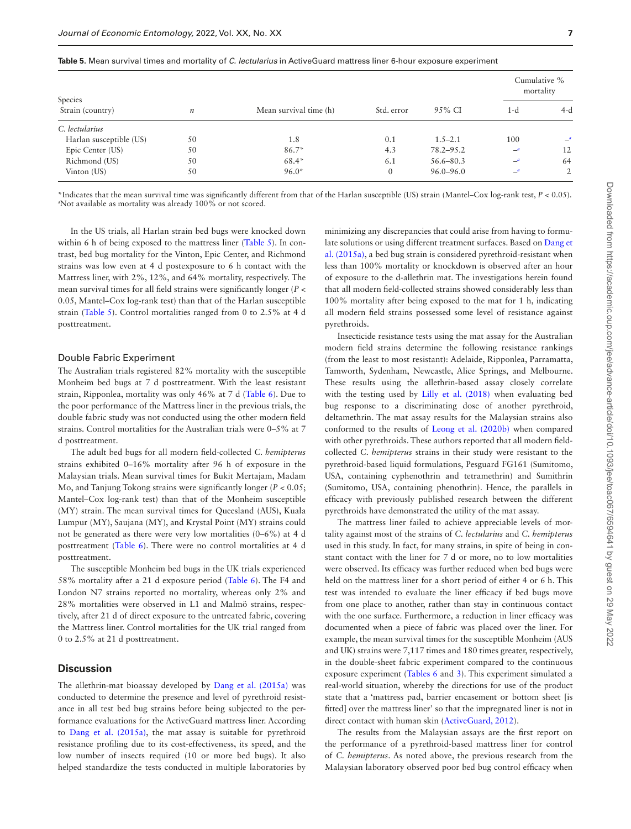|                         |                  |                        |              |               | Cumulative %                 | mortality             |
|-------------------------|------------------|------------------------|--------------|---------------|------------------------------|-----------------------|
| Species                 |                  |                        |              |               |                              |                       |
| Strain (country)        | $\boldsymbol{n}$ | Mean survival time (h) | Std. error   | 95% CI        | 1-d                          | $4-d$                 |
| C. lectularius          |                  |                        |              |               |                              |                       |
| Harlan susceptible (US) | 50               | 1.8                    | 0.1          | $1.5 - 2.1$   | 100                          | $\equiv$ <sup>a</sup> |
| Epic Center (US)        | 50               | $86.7*$                | 4.3          | 78.2–95.2     | $\equiv$ <sup><i>a</i></sup> | 12                    |
| Richmond (US)           | 50               | $68.4*$                | 6.1          | 56.6–80.3     | $\equiv$ <sup>a</sup>        | 64                    |
| Vinton (US)             | 50               | $96.0*$                | $\mathbf{0}$ | $96.0 - 96.0$ | $-$ <sup>a</sup>             | 2                     |

<span id="page-6-0"></span>

|  |  |  |  |  |  | <b>Table 5.</b> Mean survival times and mortality of C. lectularius in ActiveGuard mattress liner 6-hour exposure experiment |
|--|--|--|--|--|--|------------------------------------------------------------------------------------------------------------------------------|
|--|--|--|--|--|--|------------------------------------------------------------------------------------------------------------------------------|

<span id="page-6-1"></span>\*Indicates that the mean survival time was signifcantly different from that of the Harlan susceptible (US) strain (Mantel–Cox log-rank test, *P* < 0.05). *a* Not available as mortality was already 100% or not scored.

In the US trials, all Harlan strain bed bugs were knocked down within 6 h of being exposed to the mattress liner ([Table 5\)](#page-6-0). In contrast, bed bug mortality for the Vinton, Epic Center, and Richmond strains was low even at 4 d postexposure to 6 h contact with the Mattress liner, with 2%, 12%, and 64% mortality, respectively. The mean survival times for all feld strains were signifcantly longer (*P* < 0.05, Mantel–Cox log-rank test) than that of the Harlan susceptible strain ([Table 5\)](#page-6-0). Control mortalities ranged from 0 to 2.5% at 4 d posttreatment.

#### Double Fabric Experiment

The Australian trials registered 82% mortality with the susceptible Monheim bed bugs at 7 d posttreatment. With the least resistant strain, Ripponlea, mortality was only 46% at 7 d ([Table 6\)](#page-7-0). Due to the poor performance of the Mattress liner in the previous trials, the double fabric study was not conducted using the other modern feld strains. Control mortalities for the Australian trials were 0–5% at 7 d posttreatment.

The adult bed bugs for all modern feld-collected *C. hemipterus* strains exhibited 0–16% mortality after 96 h of exposure in the Malaysian trials. Mean survival times for Bukit Mertajam, Madam Mo, and Tanjung Tokong strains were signifcantly longer (*P* < 0.05; Mantel–Cox log-rank test) than that of the Monheim susceptible (MY) strain. The mean survival times for Queesland (AUS), Kuala Lumpur (MY), Saujana (MY), and Krystal Point (MY) strains could not be generated as there were very low mortalities (0–6%) at 4 d posttreatment ([Table 6](#page-7-0)). There were no control mortalities at 4 d posttreatment.

The susceptible Monheim bed bugs in the UK trials experienced 58% mortality after a 21 d exposure period ([Table 6\)](#page-7-0). The F4 and London N7 strains reported no mortality, whereas only 2% and 28% mortalities were observed in L1 and Malmö strains, respectively, after 21 d of direct exposure to the untreated fabric, covering the Mattress liner. Control mortalities for the UK trial ranged from 0 to 2.5% at 21 d posttreatment.

# **Discussion**

The allethrin-mat bioassay developed by [Dang et al. \(2015a\)](#page-8-11) was conducted to determine the presence and level of pyrethroid resistance in all test bed bug strains before being subjected to the performance evaluations for the ActiveGuard mattress liner. According to [Dang et al. \(2015a\),](#page-8-11) the mat assay is suitable for pyrethroid resistance profling due to its cost-effectiveness, its speed, and the low number of insects required (10 or more bed bugs). It also helped standardize the tests conducted in multiple laboratories by

minimizing any discrepancies that could arise from having to formulate solutions or using different treatment surfaces. Based on [Dang et](#page-8-11)  [al. \(2015a\)](#page-8-11), a bed bug strain is considered pyrethroid-resistant when less than 100% mortality or knockdown is observed after an hour of exposure to the d-allethrin mat. The investigations herein found that all modern feld-collected strains showed considerably less than 100% mortality after being exposed to the mat for 1 h, indicating all modern feld strains possessed some level of resistance against pyrethroids.

Insecticide resistance tests using the mat assay for the Australian modern feld strains determine the following resistance rankings (from the least to most resistant): Adelaide, Ripponlea, Parramatta, Tamworth, Sydenham, Newcastle, Alice Springs, and Melbourne. These results using the allethrin-based assay closely correlate with the testing used by [Lilly et al. \(2018\)](#page-9-5) when evaluating bed bug response to a discriminating dose of another pyrethroid, deltamethrin. The mat assay results for the Malaysian strains also conformed to the results of [Leong et al. \(2020b\)](#page-9-15) when compared with other pyrethroids. These authors reported that all modern feldcollected *C. hemipterus* strains in their study were resistant to the pyrethroid-based liquid formulations, Pesguard FG161 (Sumitomo, USA, containing cyphenothrin and tetramethrin) and Sumithrin (Sumitomo, USA, containing phenothrin). Hence, the parallels in effcacy with previously published research between the different pyrethroids have demonstrated the utility of the mat assay.

The mattress liner failed to achieve appreciable levels of mortality against most of the strains of *C. lectularius* and *C. hemipterus* used in this study. In fact, for many strains, in spite of being in constant contact with the liner for 7 d or more, no to low mortalities were observed. Its efficacy was further reduced when bed bugs were held on the mattress liner for a short period of either 4 or 6 h. This test was intended to evaluate the liner effcacy if bed bugs move from one place to another, rather than stay in continuous contact with the one surface. Furthermore, a reduction in liner efficacy was documented when a piece of fabric was placed over the liner. For example, the mean survival times for the susceptible Monheim (AUS and UK) strains were 7,117 times and 180 times greater, respectively, in the double-sheet fabric experiment compared to the continuous exposure experiment [\(Tables 6](#page-7-0) and [3](#page-5-0)). This experiment simulated a real-world situation, whereby the directions for use of the product state that a 'mattress pad, barrier encasement or bottom sheet [is ftted] over the mattress liner' so that the impregnated liner is not in direct contact with human skin (ActiveGuard, 2012).

The results from the Malaysian assays are the frst report on the performance of a pyrethroid-based mattress liner for control of *C. hemipterus*. As noted above, the previous research from the Malaysian laboratory observed poor bed bug control effcacy when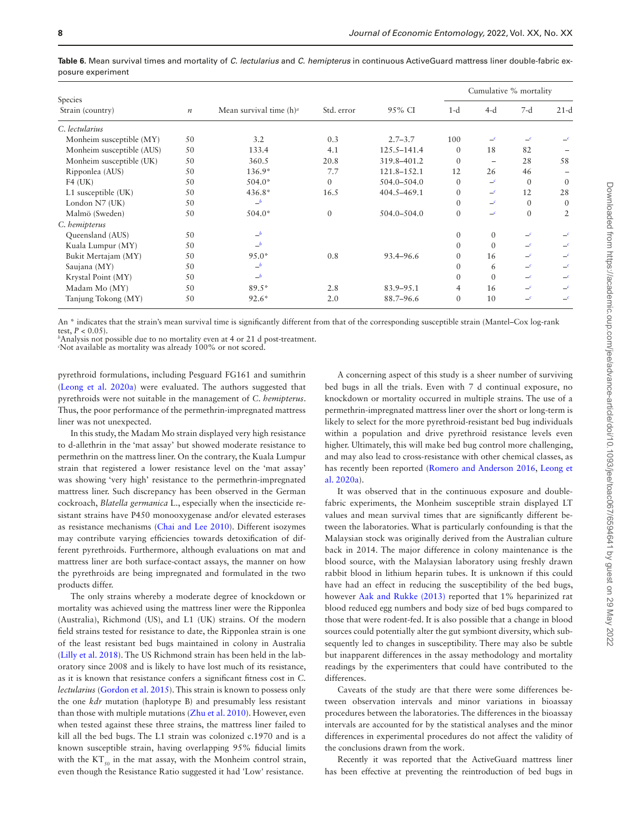|                             |                  |                            |              |                 | Cumulative % mortality |                  |                            |          |
|-----------------------------|------------------|----------------------------|--------------|-----------------|------------------------|------------------|----------------------------|----------|
| Species<br>Strain (country) | $\boldsymbol{n}$ | Mean survival time $(h)^a$ | Std. error   | 95% CI          | $1-d$                  | $4-d$            | $7-d$                      | $21-d$   |
| C. lectularius              |                  |                            |              |                 |                        |                  |                            |          |
| Monheim susceptible (MY)    | 50               | 3.2                        | 0.3          | $2.7 - 3.7$     | 100                    | -c               | _c                         |          |
| Monheim susceptible (AUS)   | 50               | 133.4                      | 4.1          | 125.5-141.4     | $\Omega$               | 18               | 82                         |          |
| Monheim susceptible (UK)    | 50               | 360.5                      | 20.8         | 319.8-401.2     | $\Omega$               |                  | 28                         | 58       |
| Ripponlea (AUS)             | 50               | $136.9*$                   | 7.7          | 121.8-152.1     | 12                     | 26               | 46                         |          |
| $F4$ (UK)                   | 50               | $504.0*$                   | $\Omega$     | $504.0 - 504.0$ | $\Omega$               | $\equiv$ c       | $\Omega$                   | $\Omega$ |
| L1 susceptible (UK)         | 50               | $436.8*$                   | 16.5         | 404.5-469.1     | $\mathbf{0}$           | $-$ <sup>c</sup> | 12                         | 28       |
| London N7 (UK)              | 50               | b                          |              |                 | $\Omega$               | $-$ <sup>c</sup> | $\Omega$                   | $\Omega$ |
| Malmö (Sweden)              | 50               | $504.0*$                   | $\mathbf{0}$ | $504.0 - 504.0$ | 0                      | $\epsilon$       | $\mathbf{0}$               | 2        |
| C. hemipterus               |                  |                            |              |                 |                        |                  |                            |          |
| Queensland (AUS)            | 50               | $-b$                       |              |                 | $\mathbf{0}$           | $\theta$         | $-$ <sup>c</sup>           |          |
| Kuala Lumpur (MY)           | 50               | $-b$                       |              |                 | $\mathbf{0}$           | $\Omega$         | $-c$                       |          |
| Bukit Mertajam (MY)         | 50               | $95.0*$                    | 0.8          | 93.4–96.6       | $\overline{0}$         | 16               | $-$ <sup>c</sup>           | $\equiv$ |
| Saujana (MY)                | 50               | b                          |              |                 | 0                      | 6                | $-$ <sup>c</sup>           | $\equiv$ |
| Krystal Point (MY)          | 50               | $-b$                       |              |                 | $\mathbf{0}$           | $\Omega$         | $-c$                       |          |
| Madam Mo (MY)               | 50               | $89.5*$                    | 2.8          | $83.9 - 95.1$   | 4                      | 16               | $-$ <sup>c</sup>           | $\equiv$ |
| Tanjung Tokong (MY)         | 50               | $92.6*$                    | 2.0          | 88.7-96.6       | $\Omega$               | 10               | $\overline{\phantom{a}}^c$ | $\equiv$ |

<span id="page-7-0"></span>**Table 6.** Mean survival times and mortality of *C. lectularius* and *C. hemipterus* in continuous ActiveGuard mattress liner double-fabric exposure experiment

An \* indicates that the strain's mean survival time is signifcantly different from that of the corresponding susceptible strain (Mantel–Cox log-rank test,  $P < 0.05$ ).

<span id="page-7-2"></span>*b* Analysis not possible due to no mortality even at 4 or 21 d post-treatment.

<span id="page-7-1"></span>*c* Not available as mortality was already 100% or not scored.

pyrethroid formulations, including Pesguard FG161 and sumithrin [\(Leong et al. 2020a](#page-9-14)) were evaluated. The authors suggested that pyrethroids were not suitable in the management of *C. hemipterus*. Thus, the poor performance of the permethrin-impregnated mattress liner was not unexpected.

In this study, the Madam Mo strain displayed very high resistance to d-allethrin in the 'mat assay' but showed moderate resistance to permethrin on the mattress liner. On the contrary, the Kuala Lumpur strain that registered a lower resistance level on the 'mat assay' was showing 'very high' resistance to the permethrin-impregnated mattress liner. Such discrepancy has been observed in the German cockroach, *Blatella germanica* L., especially when the insecticide resistant strains have P450 monooxygenase and/or elevated esterases as resistance mechanisms [\(Chai and Lee 2010](#page-8-14)). Different isozymes may contribute varying efficiencies towards detoxification of different pyrethroids. Furthermore, although evaluations on mat and mattress liner are both surface-contact assays, the manner on how the pyrethroids are being impregnated and formulated in the two products differ.

<span id="page-7-7"></span><span id="page-7-5"></span><span id="page-7-4"></span>The only strains whereby a moderate degree of knockdown or mortality was achieved using the mattress liner were the Ripponlea (Australia), Richmond (US), and L1 (UK) strains. Of the modern feld strains tested for resistance to date, the Ripponlea strain is one of the least resistant bed bugs maintained in colony in Australia [\(Lilly et al. 2018](#page-9-5)). The US Richmond strain has been held in the laboratory since 2008 and is likely to have lost much of its resistance, as it is known that resistance confers a signifcant ftness cost in *C. lectularius* ([Gordon et al. 2015\)](#page-9-17). This strain is known to possess only the one *kdr* mutation (haplotype B) and presumably less resistant than those with multiple mutations [\(Zhu et al. 2010](#page-9-18)). However, even when tested against these three strains, the mattress liner failed to kill all the bed bugs. The L1 strain was colonized c.1970 and is a known susceptible strain, having overlapping 95% fducial limits with the  $KT_{50}$  in the mat assay, with the Monheim control strain, even though the Resistance Ratio suggested it had 'Low' resistance.

A concerning aspect of this study is a sheer number of surviving bed bugs in all the trials. Even with 7 d continual exposure, no knockdown or mortality occurred in multiple strains. The use of a permethrin-impregnated mattress liner over the short or long-term is likely to select for the more pyrethroid-resistant bed bug individuals within a population and drive pyrethroid resistance levels even higher. Ultimately, this will make bed bug control more challenging, and may also lead to cross-resistance with other chemical classes, as has recently been reported ([Romero and Anderson 2016](#page-9-19), [Leong et](#page-9-14)  [al. 2020a\)](#page-9-14).

<span id="page-7-6"></span>It was observed that in the continuous exposure and doublefabric experiments, the Monheim susceptible strain displayed LT values and mean survival times that are signifcantly different between the laboratories. What is particularly confounding is that the Malaysian stock was originally derived from the Australian culture back in 2014. The major difference in colony maintenance is the blood source, with the Malaysian laboratory using freshly drawn rabbit blood in lithium heparin tubes. It is unknown if this could have had an effect in reducing the susceptibility of the bed bugs, however [Aak and Rukke \(2013\)](#page-8-15) reported that 1% heparinized rat blood reduced egg numbers and body size of bed bugs compared to those that were rodent-fed. It is also possible that a change in blood sources could potentially alter the gut symbiont diversity, which subsequently led to changes in susceptibility. There may also be subtle but inapparent differences in the assay methodology and mortality readings by the experimenters that could have contributed to the differences.

<span id="page-7-3"></span>Caveats of the study are that there were some differences between observation intervals and minor variations in bioassay procedures between the laboratories. The differences in the bioassay intervals are accounted for by the statistical analyses and the minor differences in experimental procedures do not affect the validity of the conclusions drawn from the work.

Recently it was reported that the ActiveGuard mattress liner has been effective at preventing the reintroduction of bed bugs in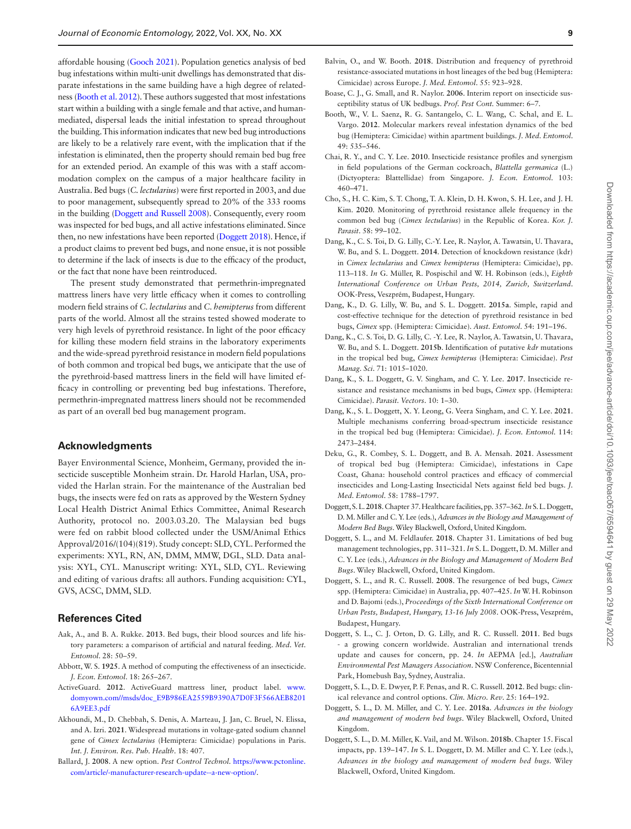<span id="page-8-18"></span><span id="page-8-17"></span>affordable housing [\(Gooch 2021\)](#page-9-20). Population genetics analysis of bed bug infestations within multi-unit dwellings has demonstrated that disparate infestations in the same building have a high degree of relatedness ([Booth et al. 2012](#page-8-16)). These authors suggested that most infestations start within a building with a single female and that active, and humanmediated, dispersal leads the initial infestation to spread throughout the building. This information indicates that new bed bug introductions are likely to be a relatively rare event, with the implication that if the infestation is eliminated, then the property should remain bed bug free for an extended period. An example of this was with a staff accommodation complex on the campus of a major healthcare facility in Australia. Bed bugs (*C. lectularius*) were frst reported in 2003, and due to poor management, subsequently spread to 20% of the 333 rooms in the building (Doggett and Russell 2008). Consequently, every room was inspected for bed bugs, and all active infestations eliminated. Since then, no new infestations have been reported (Doggett 2018). Hence, if a product claims to prevent bed bugs, and none ensue, it is not possible to determine if the lack of insects is due to the effcacy of the product, or the fact that none have been reintroduced.

The present study demonstrated that permethrin-impregnated mattress liners have very little effcacy when it comes to controlling modern feld strains of *C. lectularius* and *C. hemipterus* from different parts of the world. Almost all the strains tested showed moderate to very high levels of pyrethroid resistance. In light of the poor efficacy for killing these modern feld strains in the laboratory experiments and the wide-spread pyrethroid resistance in modern feld populations of both common and tropical bed bugs, we anticipate that the use of the pyrethroid-based mattress liners in the feld will have limited effcacy in controlling or preventing bed bug infestations. Therefore, permethrin-impregnated mattress liners should not be recommended as part of an overall bed bug management program.

# **Acknowledgments**

Bayer Environmental Science, Monheim, Germany, provided the insecticide susceptible Monheim strain. Dr. Harold Harlan, USA, provided the Harlan strain. For the maintenance of the Australian bed bugs, the insects were fed on rats as approved by the Western Sydney Local Health District Animal Ethics Committee, Animal Research Authority, protocol no. 2003.03.20. The Malaysian bed bugs were fed on rabbit blood collected under the USM/Animal Ethics Approval/2016/(104)(819). Study concept: SLD, CYL. Performed the experiments: XYL, RN, AN, DMM, MMW, DGL, SLD. Data analysis: XYL, CYL. Manuscript writing: XYL, SLD, CYL. Reviewing and editing of various drafts: all authors. Funding acquisition: CYL, GVS, ACSC, DMM, SLD.

# **References Cited**

- <span id="page-8-15"></span>[Aak, A., and B. A. Rukke.](#page-7-3) **2013**. Bed bugs, their blood sources and life history parameters: a comparison of artifcial and natural feeding. *Med. Vet. Entomol*. 28: 50–59.
- <span id="page-8-13"></span>[Abbott, W. S.](#page-3-0) **1925**. A method of computing the effectiveness of an insecticide. *J. Econ. Entomol*. 18: 265–267.
- ActiveGuard. **2012**. ActiveGuard mattress liner, product label. [www.](https://www.domyown.com//msds/doc_E9B986EA2559B9390A7D0F3F566AEB82016A9EE3.pdf) [domyown.com//msds/doc\\_E9B986EA2559B9390A7D0F3F566AEB8201](https://www.domyown.com//msds/doc_E9B986EA2559B9390A7D0F3F566AEB82016A9EE3.pdf) [6A9EE3.pdf](https://www.domyown.com//msds/doc_E9B986EA2559B9390A7D0F3F566AEB82016A9EE3.pdf)
- <span id="page-8-6"></span>[Akhoundi, M., D. Chebbah, S. Denis, A. Marteau, J. Jan, C. Bruel, N. Elissa,](#page-1-0)  [and A. Izri.](#page-1-0) **2021**. Widespread mutations in voltage-gated sodium channel gene of *Cimex lectularius* (Hemiptera: Cimicidae) populations in Paris. *Int. J. Environ. Res. Pub. Health*. 18: 407.
- <span id="page-8-9"></span>[Ballard, J.](#page-1-1) **2008**. A new option. *Pest Control Technol*. [https://www.pctonline.](https://www.pctonline.com/article/-manufacturer-research-update--a-new-option/) [com/article/-manufacturer-research-update--a-new-option/](https://www.pctonline.com/article/-manufacturer-research-update--a-new-option/).
- <span id="page-8-4"></span>[Balvin, O., and W. Booth.](#page-0-8) **2018**. Distribution and frequency of pyrethroid resistance-associated mutations in host lineages of the bed bug (Hemiptera: Cimicidae) across Europe. *J. Med. Entomol*. 55: 923–928.
- <span id="page-8-3"></span>[Boase, C. J., G. Small, and R. Naylor.](#page-0-9) **2006**. Interim report on insecticide susceptibility status of UK bedbugs. *Prof. Pest Cont.* Summer: 6–7.
- <span id="page-8-16"></span>[Booth, W., V. L. Saenz, R. G. Santangelo, C. L. Wang, C. Schal, and E. L.](#page-8-17)  [Vargo.](#page-8-17) **2012**. Molecular markers reveal infestation dynamics of the bed bug (Hemiptera: Cimicidae) within apartment buildings. *J. Med. Entomol*. 49: 535–546.
- <span id="page-8-14"></span>[Chai, R. Y., and C. Y. Lee.](#page-7-4) **2010**. Insecticide resistance profles and synergism in feld populations of the German cockroach, *Blattella germanica* (L.) (Dictyoptera: Blattellidae) from Singapore. *J. Econ. Entomol*. 103: 460–471.
- <span id="page-8-5"></span>[Cho, S., H. C. Kim, S. T. Chong, T. A. Klein, D. H. Kwon, S. H. Lee, and J. H.](#page-1-2)  [Kim.](#page-1-2) **2020**. Monitoring of pyrethroid resistance allele frequency in the common bed bug (*Cimex lectularius*) in the Republic of Korea. *Kor. J. Parasit*. 58: 99–102.
- Dang, K., C. S. Toi, D. G. Lilly, C.-Y. Lee, R. Naylor, A. Tawatsin, U. Thavara, W. Bu, and S. L. Doggett. **2014**. Detection of knockdown resistance (kdr) in *Cimex lectularius* and *Cimex hemipterus* (Hemiptera: Cimicidae), pp. 113–118. *In* G. Müller, R. Pospischil and W. H. Robinson (eds.), *Eighth International Conference on Urban Pests, 2014, Zurich, Switzerland*. OOK-Press, Veszprém, Budapest, Hungary.
- <span id="page-8-11"></span>[Dang, K., D. G. Lilly, W. Bu, and S. L. Doggett.](#page-1-3) **2015a**. Simple, rapid and cost-effective technique for the detection of pyrethroid resistance in bed bugs, *Cimex* spp. (Hemiptera: Cimicidae). *Aust. Entomol*. 54: 191–196.
- <span id="page-8-12"></span>[Dang, K., C. S. Toi, D. G. Lilly, C. -Y. Lee, R. Naylor, A. Tawatsin, U. Thavara,](#page-1-4)  [W. Bu, and S. L. Doggett.](#page-1-4) **2015b**. Identifcation of putative *kdr* mutations in the tropical bed bug, *Cimex hemipterus* (Hemiptera: Cimicidae). *Pest Manag. Sci*. 71: 1015–1020.
- <span id="page-8-2"></span>[Dang, K., S. L. Doggett, G. V. Singham, and C. Y. Lee.](#page-0-10) **2017**. Insecticide resistance and resistance mechanisms in bed bugs, *Cimex* spp. (Hemiptera: Cimicidae). *Parasit. Vectors*. 10: 1–30.
- <span id="page-8-8"></span>[Dang, K., S. L. Doggett, X. Y. Leong, G. Veera Singham, and C. Y. Lee.](#page-1-5) **2021**. Multiple mechanisms conferring broad-spectrum insecticide resistance in the tropical bed bug (Hemiptera: Cimicidae). *J. Econ. Entomol*. 114: 2473–2484.
- <span id="page-8-7"></span>[Deku, G., R. Combey, S. L. Doggett, and B. A. Mensah.](#page-1-6) **2021**. Assessment of tropical bed bug (Hemiptera: Cimicidae), infestations in Cape Coast, Ghana: household control practices and efficacy of commercial insecticides and Long-Lasting Insecticidal Nets against feld bed bugs. *J. Med. Entomol*. 58: 1788–1797.
- Doggett, S. L. **2018**. Chapter 37. Healthcare facilities, pp. 357–362. *In* S. L. Doggett, D. M. Miller and C. Y. Lee (eds.), *Advances in the Biology and Management of Modern Bed Bugs*. Wiley Blackwell, Oxford, United Kingdom.
- Doggett, S. L., and M. Feldlaufer. **2018**. Chapter 31. Limitations of bed bug management technologies, pp. 311–321. *In* S. L. Doggett, D. M. Miller and C. Y. Lee (eds.), *Advances in the Biology and Management of Modern Bed Bugs*. Wiley Blackwell, Oxford, United Kingdom.
- Doggett, S. L., and R. C. Russell. **2008**. The resurgence of bed bugs, *Cimex* spp. (Hemiptera: Cimicidae) in Australia, pp. 407–425. *In* W. H. Robinson and D. Bajomi (eds.), *Proceedings of the Sixth International Conference on Urban Pests, Budapest, Hungary, 13-16 July 2008*. OOK-Press, Veszprém, Budapest, Hungary.
- <span id="page-8-10"></span>[Doggett, S. L., C. J. Orton, D. G. Lilly, and R. C. Russell.](#page-1-7) **2011**. Bed bugs - a growing concern worldwide. Australian and international trends update and causes for concern, pp. 24. *In* AEPMA [ed.], *Australian Environmental Pest Managers Association*. NSW Conference, Bicentennial Park, Homebush Bay, Sydney, Australia.
- <span id="page-8-0"></span>[Doggett, S. L., D. E. Dwyer, P. F. Penas, and R. C. Russell.](#page-0-11) **2012**. Bed bugs: clinical relevance and control options. *Clin. Micro. Rev*. 25: 164–192.
- <span id="page-8-1"></span>[Doggett, S. L., D. M. Miller, and C. Y. Lee.](#page-0-12) **2018a**. *Advances in the biology and management of modern bed bugs*. Wiley Blackwell, Oxford, United Kingdom.
- Doggett, S. L., D. M. Miller, K. Vail, and M. Wilson. **2018b**. Chapter 15. Fiscal impacts, pp. 139–147. *In* S. L. Doggett, D. M. Miller and C. Y. Lee (eds.), *Advances in the biology and management of modern bed bugs*. Wiley Blackwell, Oxford, United Kingdom.